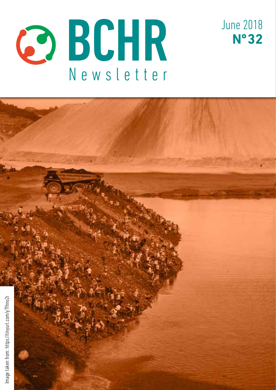



June 2018

**Nº 32**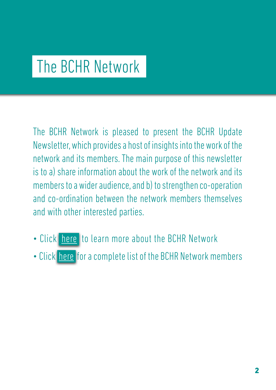## The BCHR Network

The BCHR Network is pleased to present the BCHR Update Newsletter, which provides a host of insights into the work of the network and its members. The main purpose of this newsletter is to a) share information about the work of the network and its members to a wider audience, and b) to strengthen co-operation and co-ordination between the network members themselves and with other interested parties.

- Click [here](http://www.networkbchr.org/) to learn more about the BCHR Network
- Click [here](http://www.networkbchr.org/#!join-the-network/c24vq) for a complete list of the BCHR Network members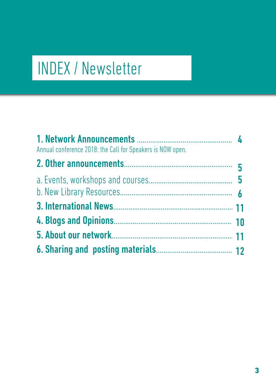# INDEX / Newsletter

| Annual conference 2018: the Call for Speakers is NOW open. |  |
|------------------------------------------------------------|--|
|                                                            |  |
|                                                            |  |
|                                                            |  |
|                                                            |  |
|                                                            |  |
|                                                            |  |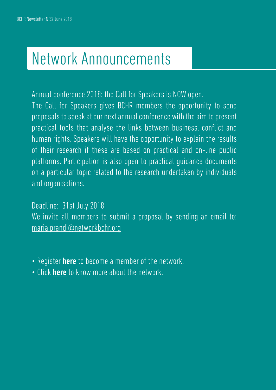## Network Announcements

Annual conference 2018: the Call for Speakers is NOW open.

The Call for Speakers gives BCHR members the opportunity to send proposals to speak at our next annual conference with the aim to present practical tools that analyse the links between business, conflict and human rights. Speakers will have the opportunity to explain the results of their research if these are based on practical and on-line public platforms. Participation is also open to practical guidance documents on a particular topic related to the research undertaken by individuals and organisations.

Deadline: 31st July 2018 We invite all members to submit a proposal by sending an email to: [maria.prandi@networkbchr.org](mailto:maria.prandi%40networkbchr.org?subject=)

- Register **[here](http://www.networkbchr.org/#!join-the-network/c24vq)** to become a member of the network.
- Click [here](http://www.networkbchr.org/#!the-network/cqn6) to know more about the network.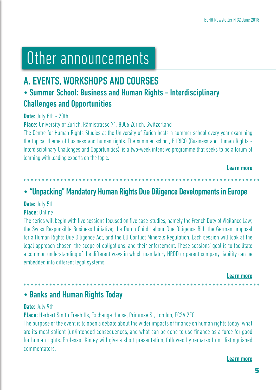## Other announcements

## A. EVENTS, WORKSHOPS AND COURSES

## • Summer School: Business and Human Rights - Interdisciplinary Challenges and Opportunities

#### Date: July 8th - 20th

Place: University of Zurich, Rämistrasse 71, 8006 Zürich, Switzerland

The Centre for Human Rights Studies at the University of Zurich hosts a summer school every year examining the topical theme of business and human rights. The summer school, BHRICO (Business and Human Rights - Interdisciplinary Challenges and Opportunities), is a two-week intensive programme that seeks to be a forum of learning with leading experts on the topic.

Learn more

### • "Unpacking" Mandatory Human Rights Due Diligence Developments in Europe

#### Date: July 5th

#### Place: Online

The series will begin with five sessions focused on five case-studies, namely the French Duty of Vigilance Law; the Swiss Responsible Business Initiative; the Dutch Child Labour Due Diligence Bill; the German proposal for a Human Rights Due Diligence Act, and the EU Conflict Minerals Regulation. Each session will look at the legal approach chosen, the scope of obligations, and their enforcement. These sessions' goal is to facilitate a common understanding of the different ways in which mandatory HRDD or parent company liability can be embedded into different legal systems.

Learn more

### • Banks and Human Rights Today

#### Date: July 9th

Place: Herbert Smith Freehills, Exchange House, Primrose St, London, EC2A 2EG

The purpose of the event is to open a debate about the wider impacts of finance on human rights today; what are its most salient (un)intended consequences, and what can be done to use finance as a force for good for human rights. Professor Kinley will give a short presentation, followed by remarks from distinguished commentators.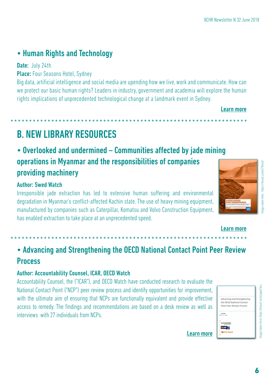## • Human Rights and Technology

#### Date: July 24th

Place: Four Seasons Hotel, Sydney

Big data, artificial intelligence and social media are upending how we live, work and communicate. How can we protect our basic human rights? Leaders in industry, government and academia will explore the human rights implications of unprecedented technological change at a landmark event in Sydney.

Learn more

## B. NEW LIBRARY RESOURCES

## • Overlooked and undermined – Communities affected by jade mining operations in Myanmar and the responsibilities of companies providing machinery

#### Author: Swed Watch

Irresponsible jade extraction has led to extensive human suffering and environmental degradation in Myanmar's conflict-affected Kachin state. The use of heavy mining equipment, manufactured by companies such as Caterpillar, Komatsu and Volvo Construction Equipment, has enabled extraction to take place at an unprecedented speed.

Learn more

### • Advancing and Strengthening the OECD National Contact Point Peer Review **Process**

#### Author: Accountability Counsel, ICAR, OECD Watch

Accountability Counsel, the ("ICAR"), and OECD Watch have conducted research to evaluate the National Contact Point ("NCP") peer review process and identify opportunities for improvement, with the ultimate aim of ensuring that NCPs are functionally equivalent and provide effective access to remedy. The findings and recommendations are based on a desk review as well as interviews with 27 individuals from NCPs.

|             | Advancing and Strengthening      |
|-------------|----------------------------------|
|             | the OECD National Contact        |
|             | <b>Point Peer Review Process</b> |
|             |                                  |
|             |                                  |
|             |                                  |
| COLORADO    |                                  |
| <b>ICAR</b> |                                  |
|             |                                  |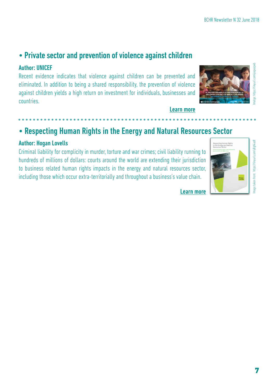### • Private sector and prevention of violence against children

#### Author: UNICEF

Recent evidence indicates that violence against children can be prevented and eliminated. In addition to being a shared responsibility, the prevention of violence against children yields a high return on investment for individuals, businesses and countries.

## • Respecting Human Rights in the Energy and Natural Resources Sector

#### Author: Hogan Lovells

Criminal liability for complicity in murder, torture and war crimes; civil liability running to hundreds of millions of dollars: courts around the world are extending their jurisdiction to business related human rights impacts in the energy and natural resources sector, including those which occur extra-territorially and throughout a business's value chain.

Learn more





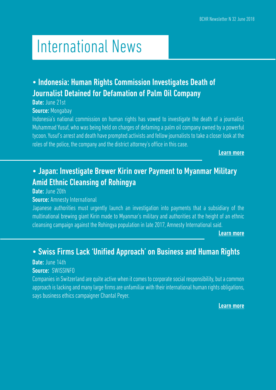## International News

## • Indonesia: Human Rights Commission Investigates Death of Journalist Detained for Defamation of Palm Oil Company

#### Date: June 21st

#### Source: Mongabay

Indonesia's national commission on human rights has vowed to investigate the death of a journalist. Muhammad Yusuf, who was being held on charges of defaming a palm oil company owned by a powerful tycoon. Yusuf's arrest and death have prompted activists and fellow journalists to take a closer look at the roles of the police, the company and the district attorney's office in this case.

Learn more

## • Japan: Investigate Brewer Kirin over Payment to Myanmar Military Amid Ethnic Cleansing of Rohingya

#### Date: June 20th

#### **Source:** Amnesty International

Japanese authorities must urgently launch an investigation into payments that a subsidiary of the multinational brewing giant Kirin made to Myanmar's military and authorities at the height of an ethnic cleansing campaign against the Rohingya population in late 2017, Amnesty International said.

Learn more

### • Swiss Firms Lack 'Unified Approach' on Business and Human Rights

#### Date: June 14th

#### Source: SWISSINFO

Companies in Switzerland are quite active when it comes to corporate social responsibility, but a common approach is lacking and many large firms are unfamiliar with their international human rights obligations, says business ethics campaigner Chantal Peyer.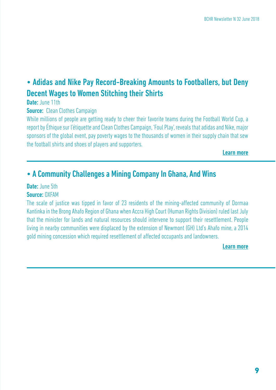## • Adidas and Nike Pay Record-Breaking Amounts to Footballers, but Deny Decent Wages to Women Stitching their Shirts

Date: June 11th

**Source:** Clean Clothes Campaign

While millions of people are getting ready to cheer their favorite teams during the Football World Cup, a report by Éthique sur l'étiquette and Clean Clothes Campaign, 'Foul Play', reveals that adidas and Nike, major sponsors of the global event, pay poverty wages to the thousands of women in their supply chain that sew the football shirts and shoes of players and supporters.

Learn more

### • A Community Challenges a Mining Company In Ghana, And Wins

#### Date: June 5th

#### Source: OXFAM

The scale of justice was tipped in favor of 23 residents of the mining-affected community of Dormaa Kantinka in the Brong Ahafo Region of Ghana when Accra High Court (Human Rights Division) ruled last July that the minister for lands and natural resources should intervene to support their resettlement. People living in nearby communities were displaced by the extension of Newmont (GH) Ltd's Ahafo mine, a 2014 gold mining concession which required resettlement of affected occupants and landowners.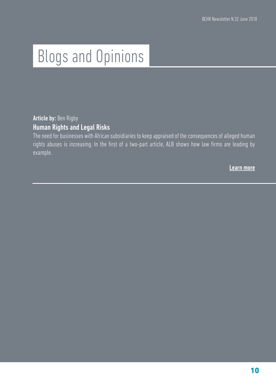# Blogs and Opinions

Article by: Ben Rigby Human Rights and Legal Risks

The need for businesses with African subsidiaries to keep appraised of the consequences of alleged human rights abuses is increasing. In the first of a two-part article, ALB shows how law firms are leading by example.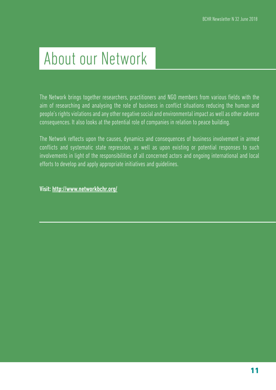## About our Network

The Network brings together researchers, practitioners and NGO members from various fields with the aim of researching and analysing the role of business in conflict situations reducing the human and people's rights violations and any other negative social and environmental impact as well as other adverse consequences. It also looks at the potential role of companies in relation to peace building.

The Network reflects upon the causes, dynamics and consequences of business involvement in armed conflicts and systematic state repression, as well as upon existing or potential responses to such involvements in light of the responsibilities of all concerned actors and ongoing international and local efforts to develop and apply appropriate initiatives and guidelines.

Visit: <http://www.networkbchr.org/>